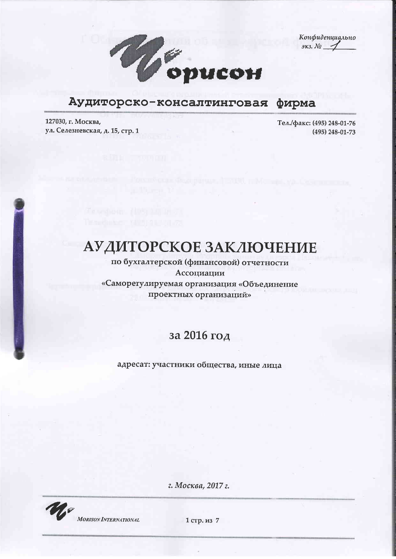

Конфиденциально  $3\kappa3. N_2$  1

#### Аудиторско-консалтинговая фирма

127030, г. Москва, ул. Селезневская, д. 15, стр. 1

Тел./факс: (495) 248-01-76 (495) 248-01-73

# АУДИТОРСКОЕ ЗАКЛЮЧЕНИЕ

по бухгалтерской (финансовой) отчетности Ассоциации «Саморегулируемая организация «Объединение проектных организаций»

# за 2016 год

адресат: участники общества, иные лица

MORISON INTERNATIONAL

1 стр. из 7

г. Москва, 2017 г.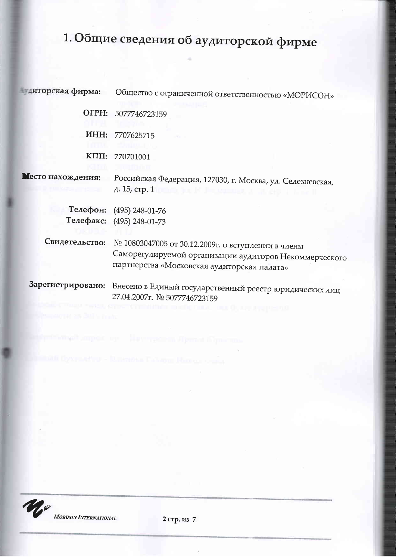# 1. Общие сведения об аудиторской фирме

| плиторская фирма: | Общество с ограниченной ответственностью «МОРИСОН»                                                                                                          |
|-------------------|-------------------------------------------------------------------------------------------------------------------------------------------------------------|
|                   | OFPH: 5077746723159                                                                                                                                         |
|                   |                                                                                                                                                             |
| MHH:              | 7707625715                                                                                                                                                  |
|                   |                                                                                                                                                             |
| $K\Pi\Pi$ :       | 770701001                                                                                                                                                   |
|                   |                                                                                                                                                             |
| Место нахождения: | Российская Федерация, 127030, г. Москва, ул. Селезневская,                                                                                                  |
|                   | д. 15, стр. 1<br>ka Millanannen in St                                                                                                                       |
| Телефон:          | $(495)$ 248-01-76                                                                                                                                           |
|                   | Телефакс: (495) 248-01-73                                                                                                                                   |
|                   |                                                                                                                                                             |
| Свидетельство:    | № 10803047005 от 30.12.2009г. о вступлении в члены<br>Саморегулируемой организации аудиторов Некоммерческого<br>партнерства «Московская аудиторская палата» |
|                   | Зарегистрировано: Внесено в Единый государственный реестр юридических лиц<br>27.04.2007r. Nº 5077746723159                                                  |
|                   |                                                                                                                                                             |

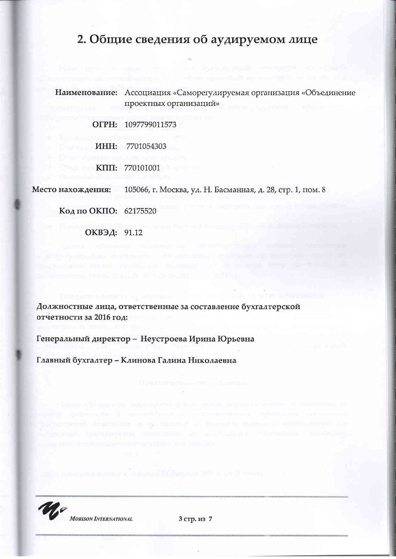# 2. Общие сведения об аудируемом лице

Наименование: Ассоциация «Саморегулируемая организация «Объединение проектных организаций»

OFPH: 1097799011573

**ИНН:** 7701054303

KIII: 770101001

Место нахождения: 105066, г. Москва, ул. Н. Басманная, д. 28, стр. 1, пом. 8

Код по ОКПО: 62175520

ОКВЭД: 91.12

Должностные лица, ответственные за составление бухгалтерской отчетности за 2016 год:

Генеральный директор - Неустроева Ирина Юрьевна

Главный бухгалтер - Клинова Галина Николаевна

MORISON INTERNATIONAL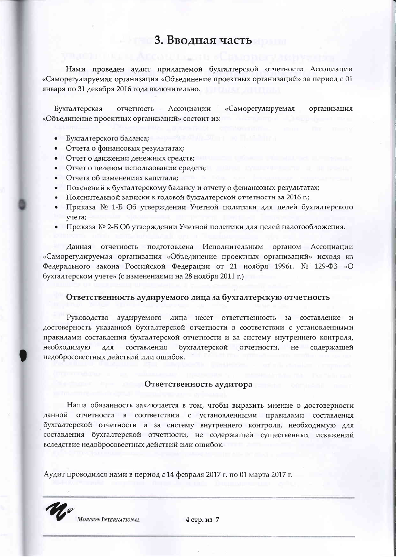# 3. Вводная часть

Нами проведен аудит прилагаемой бухгалтерской отчетности Ассоциации «Саморегулируемая организация «Объединение проектных организаций» за период с 01 января по 31 декабря 2016 года включительно.

Бухгалтерская отчетность Ассоциации «Саморегулируемая организация «Объединение проектных организаций» состоит из:

- Бухгалтерского баланса;
- Отчета о финансовых результатах;
- Отчет о движении денежных средств;
- Отчет о целевом использовании средств;
- Отчета об изменениях капитала;
- Пояснений к бухгалтерскому балансу и отчету о финансовых результатах;
- Пояснительной записки к годовой бухгалтерской отчетности за 2016 г.;
- Приказа № 1-Б Об утверждении Учетной политики для целей бухгалтерского учета;
- Приказа № 2-Б Об утверждении Учетной политики для целей налогообложения.

Данная отчетность подготовлена Исполнительным органом Ассоциации «Саморегулируемая организация «Объединение проектных организаций» исходя из Федерального закона Российской Федерации от 21 ноября 1996г. № 129-ФЗ «О бухгалтерском учете» (с изменениями на 28 ноября 2011 г.)

#### Ответственность аудируемого лица за бухгалтерскую отчетность

Руководство аудируемого лица несет ответственность за составление и достоверность указанной бухгалтерской отчетности в соответствии с установленными правилами составления бухгалтерской отчетности и за систему внутреннего контроля, необходимую для составления бухгалтерской отчетности, He содержащей недобросовестных действий или ошибок.

#### Ответственность аудитора

Наша обязанность заключается в том, чтобы выразить мнение о достоверности данной отчетности в соответствии с установленными правилами составления бухгалтерской отчетности и за систему внутреннего контроля, необходимую для составления бухгалтерской отчетности, не содержащей существенных искажений вследствие недобросовестных действий или ошибок.

Аудит проводился нами в период с 14 февраля 2017 г. по 01 марта 2017 г.

MORISON INTERNATIONAL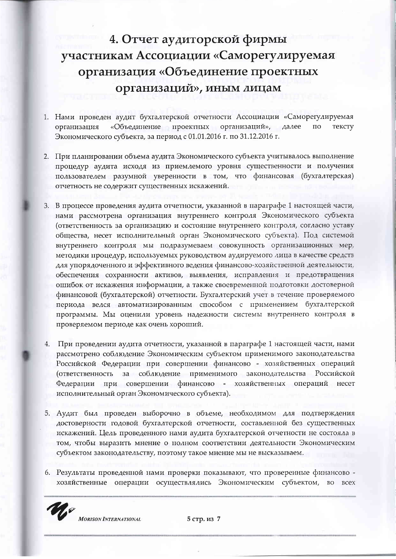# 4. Отчет аудиторской фирмы участникам Ассоциации «Саморегулируемая организация «Объединение проектных организаций», иным лицам

- 1. Нами проведен аудит бухгалтерской отчетности Ассоциации «Саморегулируемая организация «Объединение проектных организаций», далее  $\Pi{\rm O}$ тексту Экономического субъекта, за период с 01.01.2016 г. по 31.12.2016 г.
- 2. При планировании объема аудита Экономического субъекта учитывалось выполнение процедур аудита исходя из приемлемого уровня существенности и получения пользователем разумной уверенности в том, что финансовая (бухгалтерская) отчетность не содержит существенных искажений.
- 3. В процессе проведения аудита отчетности, указанной в параграфе 1 настоящей части, нами рассмотрена организация внутреннего контроля Экономического субъекта (ответственность за организацию и состояние внутреннего контроля, согласно уставу общества, несет исполнительный орган Экономического субъекта). Под системой внутреннего контроля мы подразумеваем совокупность организационных мер, методики процедур, используемых руководством аудируемого лица в качестве средств для упорядоченного и эффективного ведения финансово-хозяйственной деятельности, обеспечения сохранности активов, выявления, исправления и предотвращения ошибок от искажения информации, а также своевременной подготовки достоверной финансовой (бухгалтерской) отчетности. Бухгалтерский учет в течение проверяемого периода велся автоматизированным способом с применением бухгалтерской программы. Мы оценили уровень надежности системы внутреннего контроля в проверяемом периоде как очень хороший.
- 4. При проведении аудита отчетности, указанной в параграфе 1 настоящей части, нами рассмотрено соблюдение Экономическим субъектом применимого законодательства Российской Федерации при совершении финансово - хозяйственных операций соблюдение применимого законодательства Российской (ответственность  $3a$ Федерации при совершении финансово - хозяйственных операций несет исполнительный орган Экономического субъекта).
- 5. Аудит был проведен выборочно в объеме, необходимом для подтверждения достоверности годовой бухгалтерской отчетности, составленной без существенных искажений. Цель проведенного нами аудита бухгалтерской отчетности не состояла в том, чтобы выразить мнение о полном соответствии деятельности Экономическим субъектом законодательству, поэтому такое мнение мы не высказываем.
- 6. Результаты проведенной нами проверки показывают, что проверенные финансово хозяйственные операции осуществлялись Экономическим субъектом, во всех

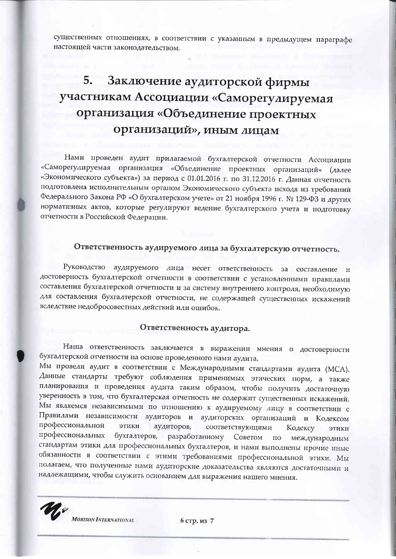существенных отношениях, в соответствии с указанным в предыдущем параграфе настоящей части законодательством.

## Заключение аудиторской фирмы 5. участникам Ассоциации «Саморегулируемая организация «Объединение проектных организаций», иным лицам

Нами проведен аудит прилагаемой бухгалтерской отчетности Ассоциации «Саморегулируемая организация «Объединение проектных организаций» (далее «Экономического субъекта») за период с 01.01.2016 г. по 31.12.2016 г. Данная отчетность подготовлена исполнительным органом Экономического субъекта исходя из требований Федерального Закона РФ «О бухгалтерском учете» от 21 ноября 1996 г. № 129-ФЗ и других нормативных актов, которые регулируют ведение бухгалтерского учета и подготовку отчетности в Российской Федерации.

### Ответственность аудируемого лица за бухгалтерскую отчетность.

Руководство аудируемого лица несет ответственность за составление и достоверность бухгалтерской отчетности в соответствии с установленными правилами составления бухгалтерской отчетности и за систему внутреннего контроля, необходимую для составления бухгалтерской отчетности, не содержащей существенных искажений вследствие недобросовестных действий или ошибок.

#### Ответственность аудитора.

Наша ответственность заключается в выражении мнения о достоверности бухгалтерской отчетности на основе проведенного нами аудита.

Мы провели аудит в соответствии с Международными стандартами аудита (МСА). Данные стандарты требуют соблюдения применимых этических норм, а также планирования и проведения аудита таким образом, чтобы получить достаточную уверенность в том, что бухгалтерская отчетность не содержит существенных искажений. Мы являемся независимыми по отношению к аудируемому лицу в соответствии с Правилами независимости аудиторов и аудиторских организаций и Кодексом профессиональной этики аудиторов, соответствующими Кодексу этики профессиональных бухгалтеров, разработанному Советом  $\overline{a}$ международным стандартам этики для профессиональных бухгалтеров, и нами выполнены прочие иные обязанности в соответствии с этими требованиями профессиональной этики. Мы полагаем, что полученные нами аудиторские доказательства являются достаточными и надлежащими, чтобы служить основанием для выражения нашего мнения.